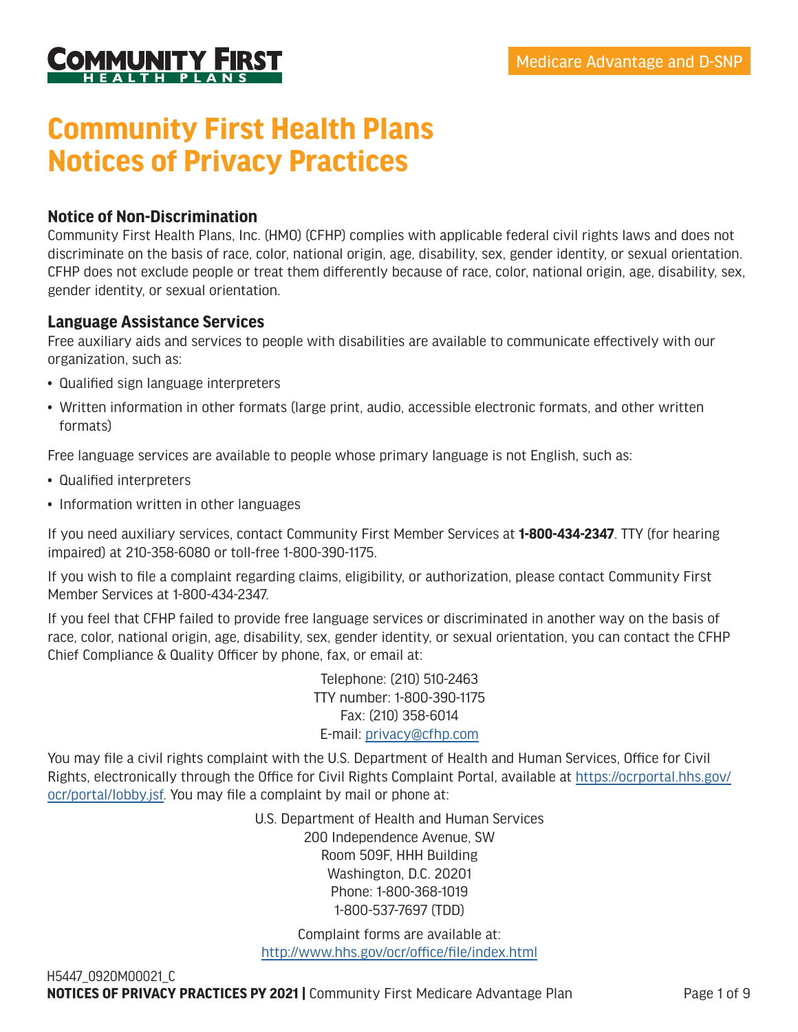OMMUNITY FI

# **Community First Health Plans Notices of Privacy Practices**

## **Notice of Non-Discrimination**

Community First Health Plans, Inc. (HMO) (CFHP) complies with applicable federal civil rights laws and does not discriminate on the basis of race, color, national origin, age, disability, sex, gender identity, or sexual orientation. CFHP does not exclude people or treat them differently because of race, color, national origin, age, disability, sex, gender identity, or sexual orientation.

## **Language Assistance Services**

Free auxiliary aids and services to people with disabilities are available to communicate effectively with our organization, such as:

- Qualified sign language interpreters
- Written information in other formats (large print, audio, accessible electronic formats, and other written formats)

Free language services are available to people whose primary language is not English, such as:

- Qualified interpreters
- Information written in other languages

If you need auxiliary services, contact Community First Member Services at **1-800-434-2347**. TTY (for hearing impaired) at 210-358-6080 or toll-free 1-800-390-1175.

If you wish to file a complaint regarding claims, eligibility, or authorization, please contact Community First Member Services at 1-800-434-2347.

If you feel that CFHP failed to provide free language services or discriminated in another way on the basis of race, color, national origin, age, disability, sex, gender identity, or sexual orientation, you can contact the CFHP Chief Compliance & Quality Officer by phone, fax, or email at:

> Telephone: (210) 510-2463 TTY number: 1-800-390-1175 Fax: (210) 358-6014 E-mail: [privacy@cfhp.com](mailto:privacy%40cfhp.com?subject=)

You may file a civil rights complaint with the U.S. Department of Health and Human Services, Office for Civil Rights, electronically through the Office for Civil Rights Complaint Portal, available at https://ocrportal.hhs.gov/ ocr/portal/lobby.jsf*.* You may file a complaint by mail or phone at:

> U.S. Department of Health and Human Services 200 Independence Avenue, SW Room 509F, HHH Building Washington, D.C. 20201 Phone: 1-800-368-1019 1-800-537-7697 (TDD)

Complaint forms are available at: http://www.hhs.gov/ocr/office/file/index.html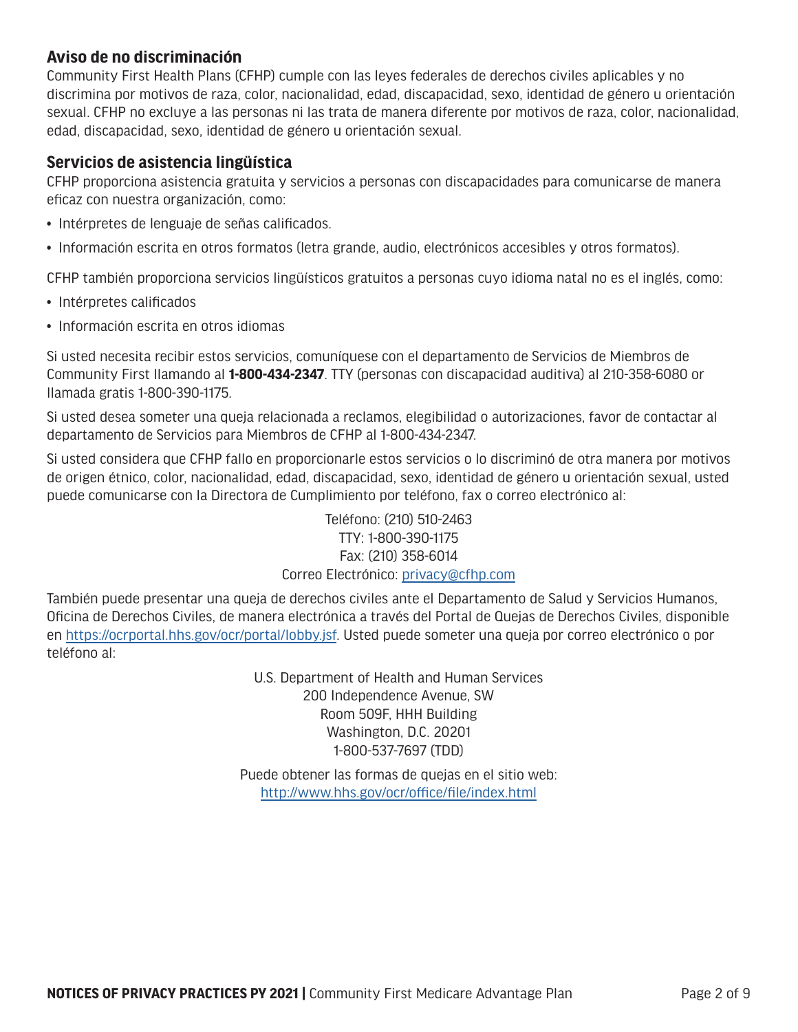# **Aviso de no discriminación**

Community First Health Plans (CFHP) cumple con las leyes federales de derechos civiles aplicables y no discrimina por motivos de raza, color, nacionalidad, edad, discapacidad, sexo, identidad de género u orientación sexual. CFHP no excluye a las personas ni las trata de manera diferente por motivos de raza, color, nacionalidad, edad, discapacidad, sexo, identidad de género u orientación sexual.

## **Servicios de asistencia lingüística**

CFHP proporciona asistencia gratuita y servicios a personas con discapacidades para comunicarse de manera eficaz con nuestra organización, como:

- Intérpretes de lenguaje de señas calificados.
- Información escrita en otros formatos (letra grande, audio, electrónicos accesibles y otros formatos).

CFHP también proporciona servicios lingüísticos gratuitos a personas cuyo idioma natal no es el inglés, como:

- Intérpretes calificados
- Información escrita en otros idiomas

Si usted necesita recibir estos servicios, comuníquese con el departamento de Servicios de Miembros de Community First llamando al **1-800-434-2347**. TTY (personas con discapacidad auditiva) al 210-358-6080 or llamada gratis 1-800-390-1175.

Si usted desea someter una queja relacionada a reclamos, elegibilidad o autorizaciones, favor de contactar al departamento de Servicios para Miembros de CFHP al 1-800-434-2347.

Si usted considera que CFHP fallo en proporcionarle estos servicios o lo discriminó de otra manera por motivos de origen étnico, color, nacionalidad, edad, discapacidad, sexo, identidad de género u orientación sexual, usted puede comunicarse con la Directora de Cumplimiento por teléfono, fax o correo electrónico al:

> Teléfono: (210) 510-2463 TTY: 1-800-390-1175 Fax: (210) 358-6014 Correo Electrónico: [privacy@cfhp.com](mailto:privacy%40cfhp.com?subject=)

También puede presentar una queja de derechos civiles ante el Departamento de Salud y Servicios Humanos, Oficina de Derechos Civiles, de manera electrónica a través del Portal de Quejas de Derechos Civiles, disponible en https://ocrportal.hhs.gov/ocr/portal/lobby.jsf. Usted puede someter una queja por correo electrónico o por teléfono al:

> U.S. Department of Health and Human Services 200 Independence Avenue, SW Room 509F, HHH Building Washington, D.C. 20201 1-800-537-7697 (TDD)

Puede obtener las formas de quejas en el sitio web: http://www.hhs.gov/ocr/office/file/index.html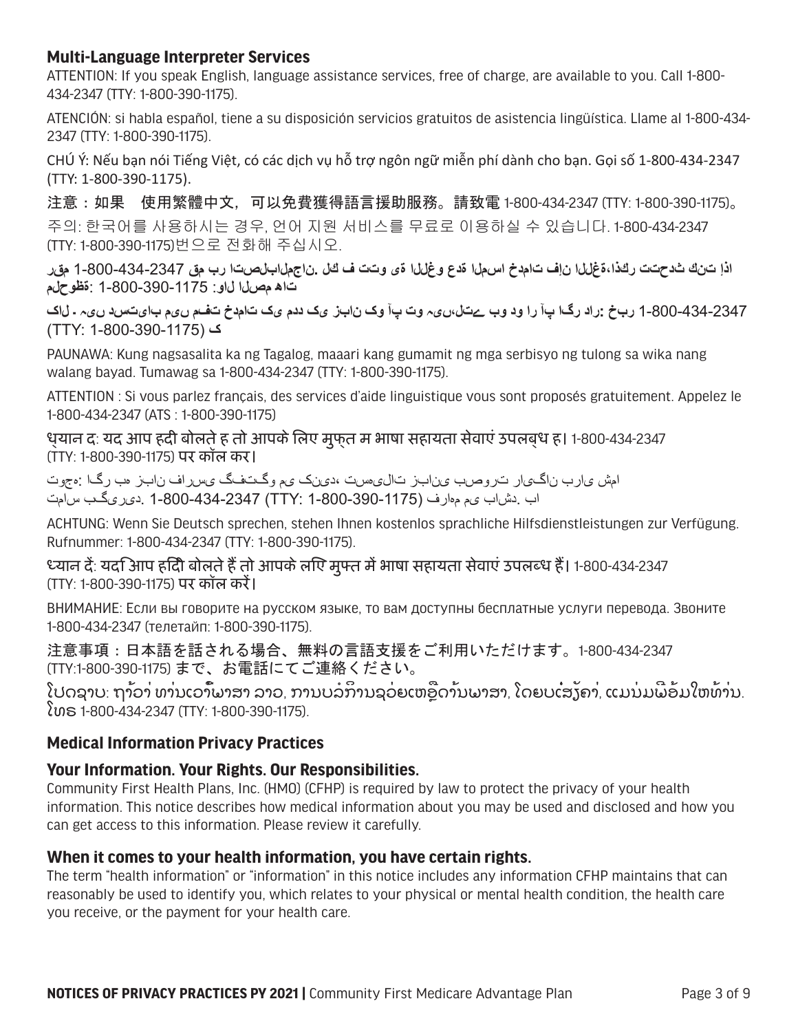# **Multi-Language Interpreter Services**

ATTENTION: If you speak English, language assistance services, free of charge, are available to you. Call 1-800- 434-2347 (TTY: 1-800-390-1175).

ATENCIÓN: si habla español, tiene a su disposición servicios gratuitos de asistencia lingüística. Llame al 1-800-434- 2347 (TTY: 1-800-390-1175).

CHÚ Ý: Nếu bạn nói Tiếng Việt, có các dịch vụ hỗ trợ ngôn ngữ miễn phí dành cho bạn. Gọi số 1-800-434-2347 (TTY: 1-800-390-1175).

注意: 如果 使用繁體中文, 可以免費獲得語言援助服務。請致電 1-800-434-2347 (TTY: 1-800-390-1175)。 주의: 한국어를 사용하시는 경우, 언어 지원 서비스를 무료로 이용하실 수 있습니다. 1-800-434-2347 (TTY: 1-800-390-1175)번으로 전화해 주십시오.

 **اذإ تنك ثدحتت ركذا،ةغللا نإف تامدخ اسملا ةدع وغللا ةی وتت ف كل .ناجملابلصتا رب مق** 1-800-434-2347 **مقر تاھ مصلا لاو**: 1-800-390-1175 :**ةظوحلم**

 1-800-434-2347 **ربخ :راد رگا پآ را ود وب ےتل،ںیہ وت پآ وک نابز یک ددم یک تامدخ تفم ںیم بایتسد ںیہ ۔ لاک ک (1175-390-1175)** ک

PAUNAWA: Kung nagsasalita ka ng Tagalog, maaari kang gumamit ng mga serbisyo ng tulong sa wika nang walang bayad. Tumawag sa 1-800-434-2347 (TTY: 1-800-390-1175).

ATTENTION : Si vous parlez français, des services d'aide linguistique vous sont proposés gratuitement. Appelez le 1-800-434-2347 (ATS : 1-800-390-1175)

धयान द: यद आप हदी बोलते ह तो आपके लिए मुफत म भाषा सहायता सेवाएं उपलबध ह। 1-800-434-2347 (TTY: 1-800-390-1175) पर कॉल कर।

امش یارب ناگیار تروصب ینابز تالیهست ،دینک یم وگتفگ یسراف نابز هب رگا :هجوت اب .دشاب یم مهارف (1-800-390-1175 :TTY (1-800-434-2347 .دیریگب سامت

ACHTUNG: Wenn Sie Deutsch sprechen, stehen Ihnen kostenlos sprachliche Hilfsdienstleistungen zur Verfügung. Rufnummer: 1-800-434-2347 (TTY: 1-800-390-1175).

ध्यान दें: यदि आप हिंदी बोलतेहैंतो आपकेलिए मुफ्त मेंभाषा सहायता सेवाएंउपलब्ध हैं। 1-800-434-2347 (TTY: 1-800-390-1175) पर कॉल करें।

ВНИМАНИЕ: Если вы говорите на русском языке, то вам доступны бесплатные услуги перевода. Звоните 1-800-434-2347 (телетайп: 1-800-390-1175).

注意事項:日本語を話される場合、無料の言語支援をご利用いただけます。1-800-434-2347 (TTY:1-800-390-1175) まで、お電話にてご連絡ください。

ໂປດຊາບ: ຖາ້ວາ່ ທາ່ນເວາ້ພາສາ ລາວ, ການບລໍກິານຊວ່ຍເຫອືດາ້ນພາສາ, ໂດຍບູເສັງຄາ, ແມ່ນມີພ້ອມໃຫທ້ານ. ໂທຣ 1-800-434-2347 (TTY: 1-800-390-1175).

# **Medical Information Privacy Practices**

# **Your Information. Your Rights. Our Responsibilities.**

Community First Health Plans, Inc. (HMO) (CFHP) is required by law to protect the privacy of your health information. This notice describes how medical information about you may be used and disclosed and how you can get access to this information. Please review it carefully.

# **When it comes to your health information, you have certain rights.**

The term "health information" or "information" in this notice includes any information CFHP maintains that can reasonably be used to identify you, which relates to your physical or mental health condition, the health care you receive, or the payment for your health care.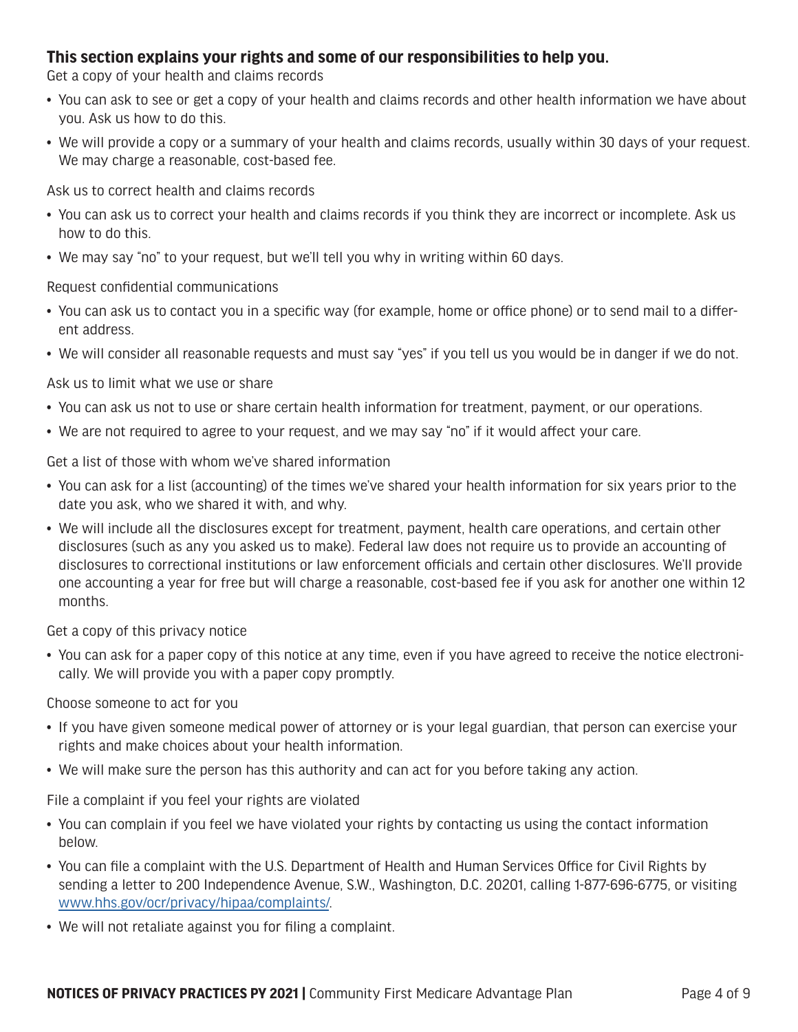# **This section explains your rights and some of our responsibilities to help you.**

Get a copy of your health and claims records

- You can ask to see or get a copy of your health and claims records and other health information we have about you. Ask us how to do this.
- We will provide a copy or a summary of your health and claims records, usually within 30 days of your request. We may charge a reasonable, cost-based fee.

Ask us to correct health and claims records

- You can ask us to correct your health and claims records if you think they are incorrect or incomplete. Ask us how to do this.
- We may say "no" to your request, but we'll tell you why in writing within 60 days.

Request confidential communications

- You can ask us to contact you in a specific way (for example, home or office phone) or to send mail to a different address.
- We will consider all reasonable requests and must say "yes" if you tell us you would be in danger if we do not.

Ask us to limit what we use or share

- You can ask us not to use or share certain health information for treatment, payment, or our operations.
- We are not required to agree to your request, and we may say "no" if it would affect your care.

Get a list of those with whom we've shared information

- You can ask for a list (accounting) of the times we've shared your health information for six years prior to the date you ask, who we shared it with, and why.
- We will include all the disclosures except for treatment, payment, health care operations, and certain other disclosures (such as any you asked us to make). Federal law does not require us to provide an accounting of disclosures to correctional institutions or law enforcement officials and certain other disclosures. We'll provide one accounting a year for free but will charge a reasonable, cost-based fee if you ask for another one within 12 months.

Get a copy of this privacy notice

• You can ask for a paper copy of this notice at any time, even if you have agreed to receive the notice electronically. We will provide you with a paper copy promptly.

Choose someone to act for you

- If you have given someone medical power of attorney or is your legal guardian, that person can exercise your rights and make choices about your health information.
- We will make sure the person has this authority and can act for you before taking any action.

File a complaint if you feel your rights are violated

- You can complain if you feel we have violated your rights by contacting us using the contact information below.
- You can file a complaint with the U.S. Department of Health and Human Services Office for Civil Rights by sending a letter to 200 Independence Avenue, S.W., Washington, D.C. 20201, calling 1-877-696-6775, or visiting www.hhs.gov/ocr/privacy/hipaa/complaints/.
- We will not retaliate against you for filing a complaint.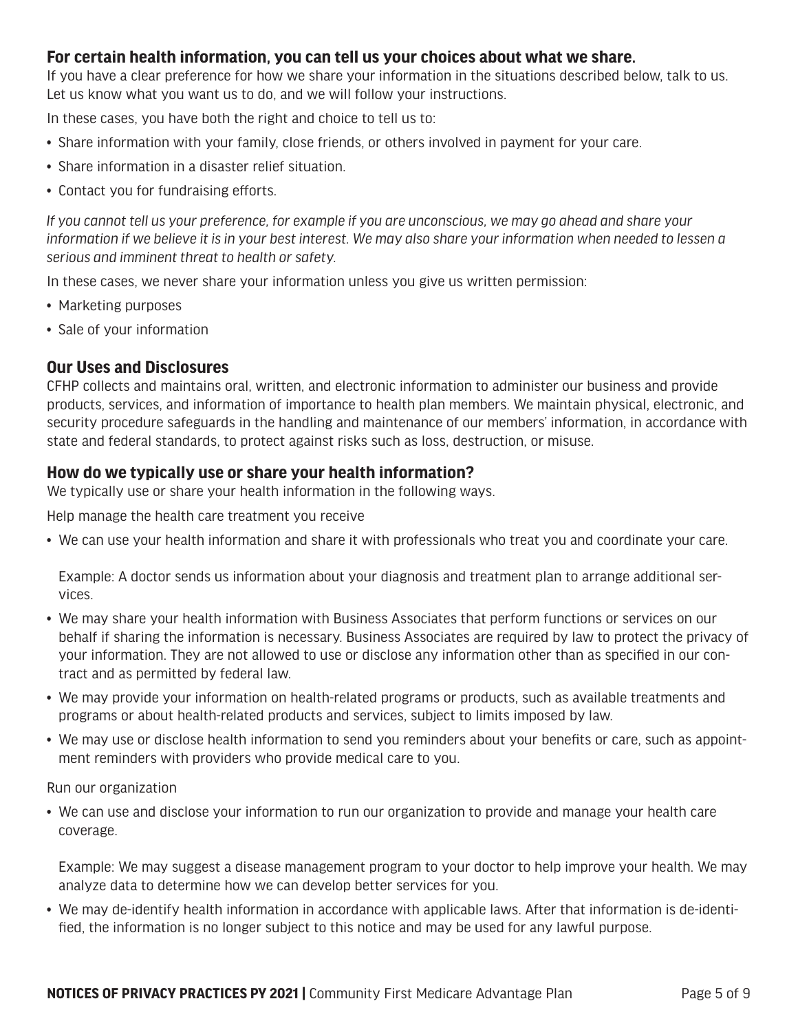# **For certain health information, you can tell us your choices about what we share.**

If you have a clear preference for how we share your information in the situations described below, talk to us. Let us know what you want us to do, and we will follow your instructions.

In these cases, you have both the right and choice to tell us to:

- Share information with your family, close friends, or others involved in payment for your care.
- Share information in a disaster relief situation.
- Contact you for fundraising efforts.

*If you cannot tell us your preference, for example if you are unconscious, we may go ahead and share your information if we believe it is in your best interest. We may also share your information when needed to lessen a serious and imminent threat to health or safety.*

In these cases, we never share your information unless you give us written permission:

- Marketing purposes
- Sale of your information

# **Our Uses and Disclosures**

CFHP collects and maintains oral, written, and electronic information to administer our business and provide products, services, and information of importance to health plan members. We maintain physical, electronic, and security procedure safeguards in the handling and maintenance of our members' information, in accordance with state and federal standards, to protect against risks such as loss, destruction, or misuse.

## **How do we typically use or share your health information?**

We typically use or share your health information in the following ways.

Help manage the health care treatment you receive

• We can use your health information and share it with professionals who treat you and coordinate your care.

Example: A doctor sends us information about your diagnosis and treatment plan to arrange additional services.

- We may share your health information with Business Associates that perform functions or services on our behalf if sharing the information is necessary. Business Associates are required by law to protect the privacy of your information. They are not allowed to use or disclose any information other than as specified in our contract and as permitted by federal law.
- We may provide your information on health-related programs or products, such as available treatments and programs or about health-related products and services, subject to limits imposed by law.
- We may use or disclose health information to send you reminders about your benefits or care, such as appointment reminders with providers who provide medical care to you.

Run our organization

• We can use and disclose your information to run our organization to provide and manage your health care coverage.

Example: We may suggest a disease management program to your doctor to help improve your health. We may analyze data to determine how we can develop better services for you.

• We may de-identify health information in accordance with applicable laws. After that information is de-identified, the information is no longer subject to this notice and may be used for any lawful purpose.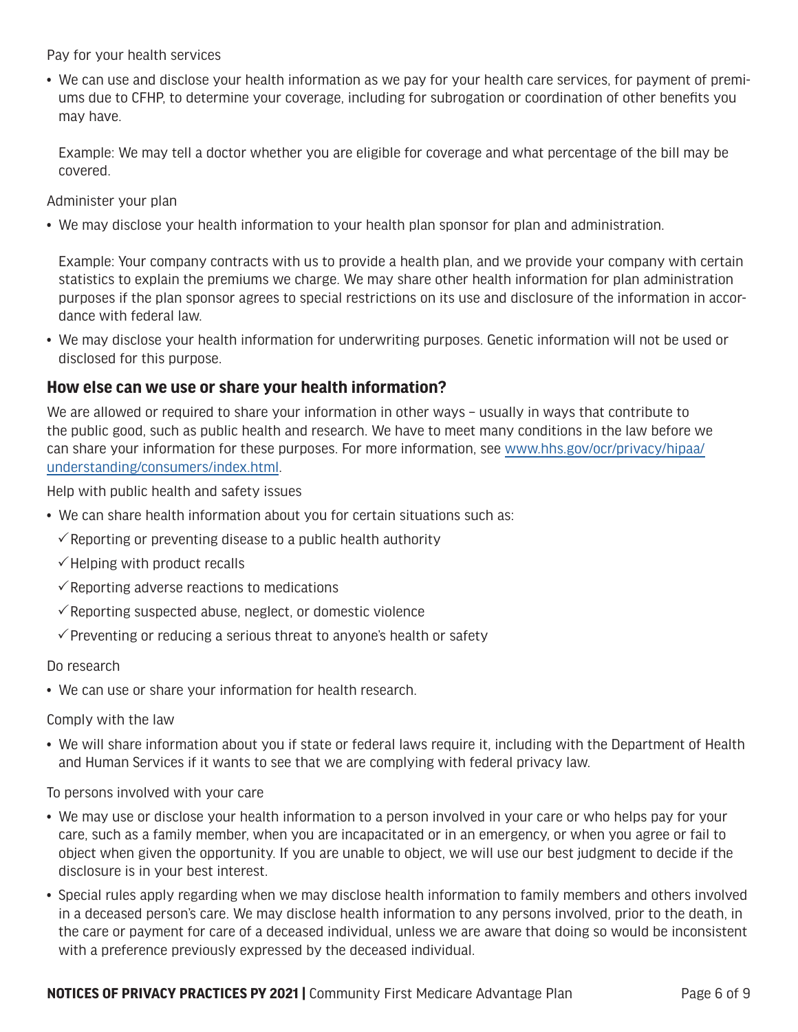Pay for your health services

• We can use and disclose your health information as we pay for your health care services, for payment of premiums due to CFHP, to determine your coverage, including for subrogation or coordination of other benefits you may have.

Example: We may tell a doctor whether you are eligible for coverage and what percentage of the bill may be covered.

Administer your plan

• We may disclose your health information to your health plan sponsor for plan and administration.

Example: Your company contracts with us to provide a health plan, and we provide your company with certain statistics to explain the premiums we charge. We may share other health information for plan administration purposes if the plan sponsor agrees to special restrictions on its use and disclosure of the information in accordance with federal law.

• We may disclose your health information for underwriting purposes. Genetic information will not be used or disclosed for this purpose.

## **How else can we use or share your health information?**

We are allowed or required to share your information in other ways – usually in ways that contribute to the public good, such as public health and research. We have to meet many conditions in the law before we can share your information for these purposes. For more information, see www.hhs.gov/ocr/privacy/hipaa/ understanding/consumers/index.html.

Help with public health and safety issues

- We can share health information about you for certain situations such as:
	- $\checkmark$  Reporting or preventing disease to a public health authority
	- $\checkmark$  Helping with product recalls
	- $\checkmark$  Reporting adverse reactions to medications
	- $\checkmark$  Reporting suspected abuse, neglect, or domestic violence
	- $\checkmark$  Preventing or reducing a serious threat to anyone's health or safety

#### Do research

• We can use or share your information for health research.

Comply with the law

• We will share information about you if state or federal laws require it, including with the Department of Health and Human Services if it wants to see that we are complying with federal privacy law.

To persons involved with your care

- We may use or disclose your health information to a person involved in your care or who helps pay for your care, such as a family member, when you are incapacitated or in an emergency, or when you agree or fail to object when given the opportunity. If you are unable to object, we will use our best judgment to decide if the disclosure is in your best interest.
- Special rules apply regarding when we may disclose health information to family members and others involved in a deceased person's care. We may disclose health information to any persons involved, prior to the death, in the care or payment for care of a deceased individual, unless we are aware that doing so would be inconsistent with a preference previously expressed by the deceased individual.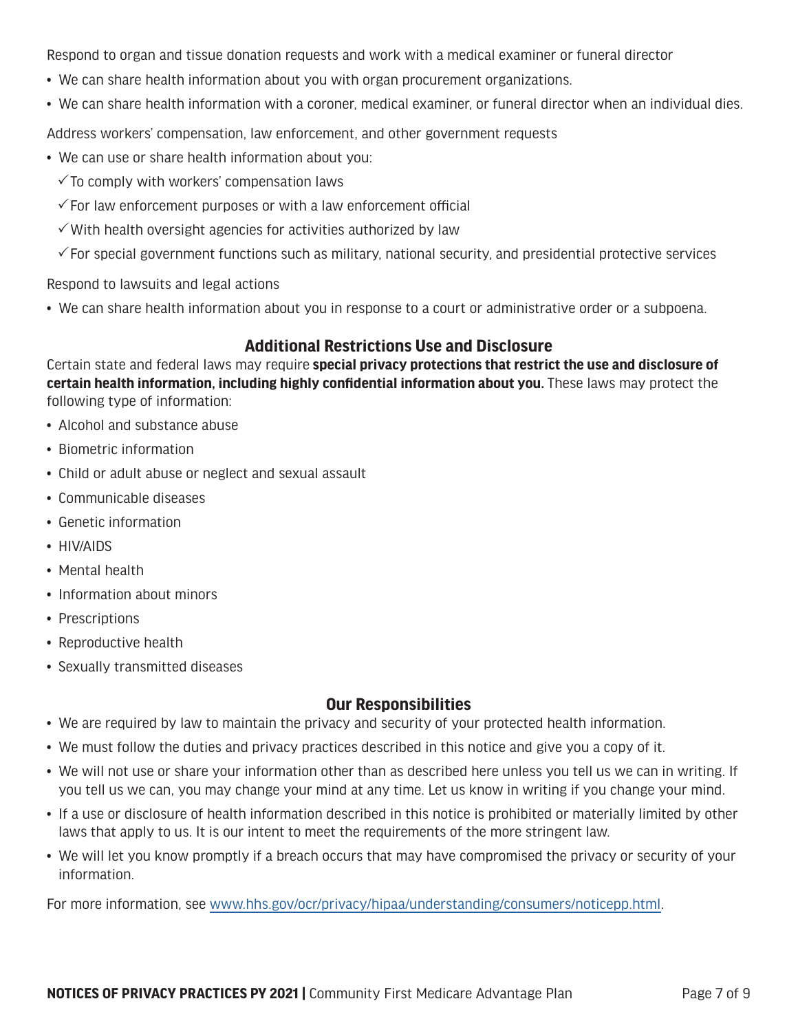Respond to organ and tissue donation requests and work with a medical examiner or funeral director

- We can share health information about you with organ procurement organizations.
- We can share health information with a coroner, medical examiner, or funeral director when an individual dies.

Address workers' compensation, law enforcement, and other government requests

- We can use or share health information about you:
	- $\checkmark$  To comply with workers' compensation laws
	- $\checkmark$  For law enforcement purposes or with a law enforcement official
	- $\checkmark$  With health oversight agencies for activities authorized by law
	- $\checkmark$  For special government functions such as military, national security, and presidential protective services

Respond to lawsuits and legal actions

• We can share health information about you in response to a court or administrative order or a subpoena.

# **Additional Restrictions Use and Disclosure**

Certain state and federal laws may require **special privacy protections that restrict the use and disclosure of certain health information, including highly confidential information about you.** These laws may protect the following type of information:

- Alcohol and substance abuse
- Biometric information
- Child or adult abuse or neglect and sexual assault
- Communicable diseases
- Genetic information
- HIV/AIDS
- Mental health
- Information about minors
- Prescriptions
- Reproductive health
- Sexually transmitted diseases

# **Our Responsibilities**

- We are required by law to maintain the privacy and security of your protected health information.
- We must follow the duties and privacy practices described in this notice and give you a copy of it.
- We will not use or share your information other than as described here unless you tell us we can in writing. If you tell us we can, you may change your mind at any time. Let us know in writing if you change your mind.
- If a use or disclosure of health information described in this notice is prohibited or materially limited by other laws that apply to us. It is our intent to meet the requirements of the more stringent law.
- We will let you know promptly if a breach occurs that may have compromised the privacy or security of your information.

For more information, see www.hhs.gov/ocr/privacy/hipaa/understanding/consumers/noticepp.html.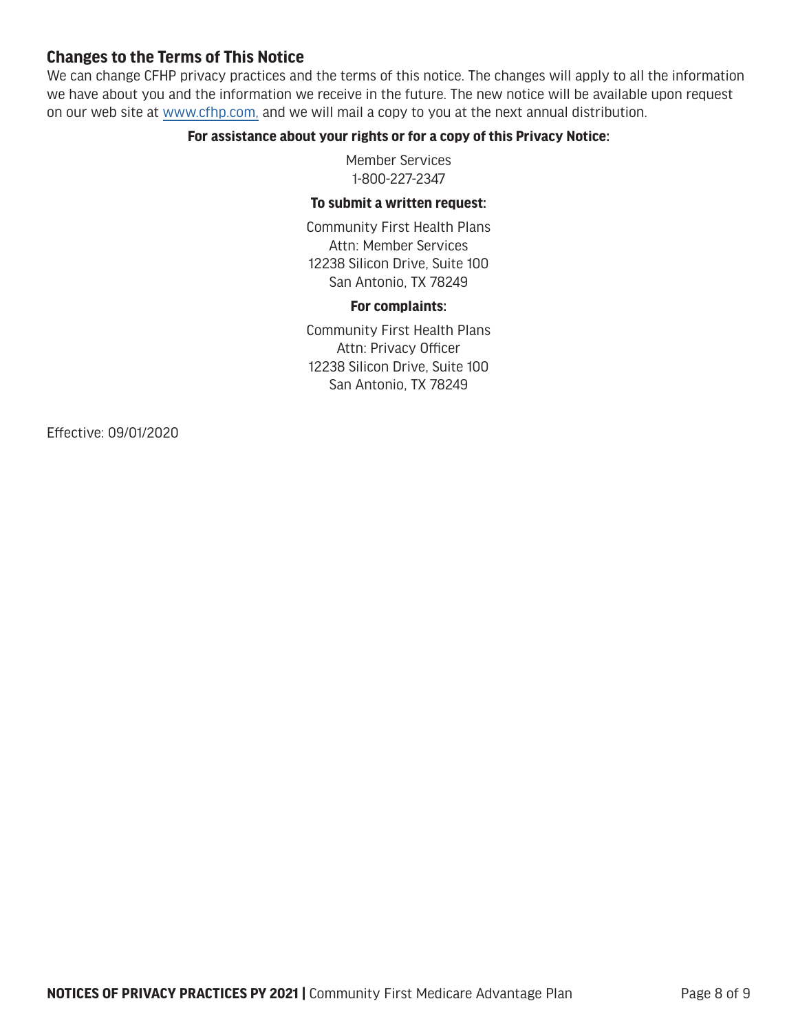# **Changes to the Terms of This Notice**

We can change CFHP privacy practices and the terms of this notice. The changes will apply to all the information we have about you and the information we receive in the future. The new notice will be available upon request on our web site at www.cfhp.com, and we will mail a copy to you at the next annual distribution.

#### **For assistance about your rights or for a copy of this Privacy Notice:**

Member Services 1-800-227-2347

#### **To submit a written request:**

Community First Health Plans Attn: Member Services 12238 Silicon Drive, Suite 100 San Antonio, TX 78249

#### **For complaints:**

Community First Health Plans Attn: Privacy Officer 12238 Silicon Drive, Suite 100 San Antonio, TX 78249

Effective: 09/01/2020